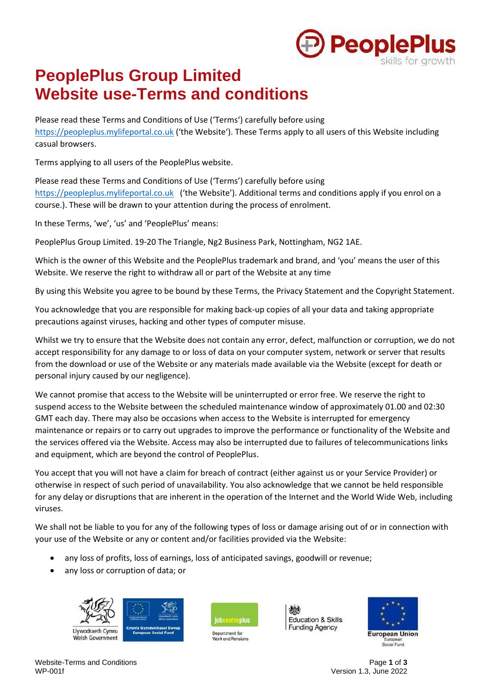

# **PeoplePlus Group Limited Website use-Terms and conditions**

Please read these Terms and Conditions of Use ('Terms') carefully before using [https://peopleplus.mylifeportal.co.uk](https://peopleplus.mylifeportal.co.uk/) ('the Website'). These Terms apply to all users of this Website including casual browsers.

Terms applying to all users of the PeoplePlus website.

Please read these Terms and Conditions of Use ('Terms') carefully before using [https://peopleplus.mylifeportal.co.uk](https://peopleplus.mylifeportal.co.uk/) ('the Website'). Additional terms and conditions apply if you enrol on a course.). These will be drawn to your attention during the process of enrolment.

In these Terms, 'we', 'us' and 'PeoplePlus' means:

PeoplePlus Group Limited. 19-20 The Triangle, Ng2 Business Park, Nottingham, NG2 1AE.

Which is the owner of this Website and the PeoplePlus trademark and brand, and 'you' means the user of this Website. We reserve the right to withdraw all or part of the Website at any time

By using this Website you agree to be bound by these Terms, the Privacy Statement and the Copyright Statement.

You acknowledge that you are responsible for making back-up copies of all your data and taking appropriate precautions against viruses, hacking and other types of computer misuse.

Whilst we try to ensure that the Website does not contain any error, defect, malfunction or corruption, we do not accept responsibility for any damage to or loss of data on your computer system, network or server that results from the download or use of the Website or any materials made available via the Website (except for death or personal injury caused by our negligence).

We cannot promise that access to the Website will be uninterrupted or error free. We reserve the right to suspend access to the Website between the scheduled maintenance window of approximately 01.00 and 02:30 GMT each day. There may also be occasions when access to the Website is interrupted for emergency maintenance or repairs or to carry out upgrades to improve the performance or functionality of the Website and the services offered via the Website. Access may also be interrupted due to failures of telecommunications links and equipment, which are beyond the control of PeoplePlus.

You accept that you will not have a claim for breach of contract (either against us or your Service Provider) or otherwise in respect of such period of unavailability. You also acknowledge that we cannot be held responsible for any delay or disruptions that are inherent in the operation of the Internet and the World Wide Web, including viruses.

We shall not be liable to you for any of the following types of loss or damage arising out of or in connection with your use of the Website or any or content and/or facilities provided via the Website:

- any loss of profits, loss of earnings, loss of anticipated savings, goodwill or revenue;
- any loss or corruption of data; or





**Education & Skills Funding Agency** 



Website-Terms and Conditions **Page 1** of **3**<br>WP-001f **Page 1** of **3** 

Version 1.3, June 2022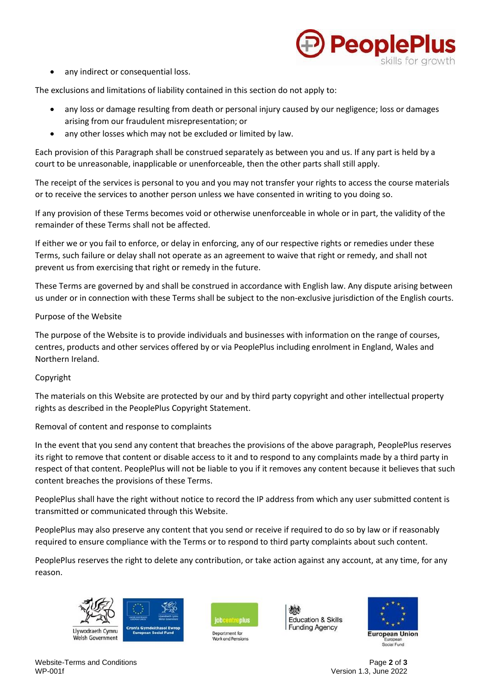

any indirect or consequential loss.

The exclusions and limitations of liability contained in this section do not apply to:

- any loss or damage resulting from death or personal injury caused by our negligence; loss or damages arising from our fraudulent misrepresentation; or
- any other losses which may not be excluded or limited by law.

Each provision of this Paragraph shall be construed separately as between you and us. If any part is held by a court to be unreasonable, inapplicable or unenforceable, then the other parts shall still apply.

The receipt of the services is personal to you and you may not transfer your rights to access the course materials or to receive the services to another person unless we have consented in writing to you doing so.

If any provision of these Terms becomes void or otherwise unenforceable in whole or in part, the validity of the remainder of these Terms shall not be affected.

If either we or you fail to enforce, or delay in enforcing, any of our respective rights or remedies under these Terms, such failure or delay shall not operate as an agreement to waive that right or remedy, and shall not prevent us from exercising that right or remedy in the future.

These Terms are governed by and shall be construed in accordance with English law. Any dispute arising between us under or in connection with these Terms shall be subject to the non-exclusive jurisdiction of the English courts.

## Purpose of the Website

The purpose of the Website is to provide individuals and businesses with information on the range of courses, centres, products and other services offered by or via PeoplePlus including enrolment in England, Wales and Northern Ireland.

## Copyright

The materials on this Website are protected by our and by third party copyright and other intellectual property rights as described in the PeoplePlus Copyright Statement.

## Removal of content and response to complaints

In the event that you send any content that breaches the provisions of the above paragraph, PeoplePlus reserves its right to remove that content or disable access to it and to respond to any complaints made by a third party in respect of that content. PeoplePlus will not be liable to you if it removes any content because it believes that such content breaches the provisions of these Terms.

PeoplePlus shall have the right without notice to record the IP address from which any user submitted content is transmitted or communicated through this Website.

PeoplePlus may also preserve any content that you send or receive if required to do so by law or if reasonably required to ensure compliance with the Terms or to respond to third party complaints about such content.

PeoplePlus reserves the right to delete any contribution, or take action against any account, at any time, for any reason.





Department for





Website-Terms and Conditions Page **2** of **3**

Version 1.3, June 2022